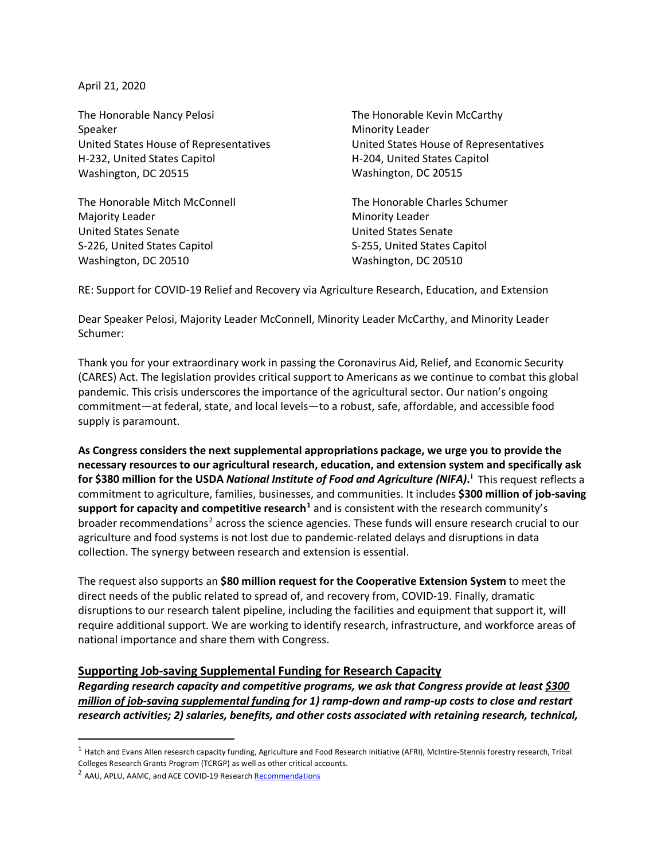April 21, 2020

The Honorable Nancy Pelosi Speaker United States House of Representatives H-232, United States Capitol Washington, DC 20515

The Honorable Mitch McConnell Majority Leader United States Senate S-226, United States Capitol Washington, DC 20510

The Honorable Kevin McCarthy Minority Leader United States House of Representatives H-204, United States Capitol Washington, DC 20515

The Honorable Charles Schumer Minority Leader United States Senate S-255, United States Capitol Washington, DC 20510

RE: Support for COVID-19 Relief and Recovery via Agriculture Research, Education, and Extension

Dear Speaker Pelosi, Majority Leader McConnell, Minority Leader McCarthy, and Minority Leader Schumer:

Thank you for your extraordinary work in passing the Coronavirus Aid, Relief, and Economic Security (CARES) Act. The legislation provides critical support to Americans as we continue to combat this global pandemic. This crisis underscores the importance of the agricultural sector. Our nation's ongoing commitment—at federal, state, and local levels—to a robust, safe, affordable, and accessible food supply is paramount.

**As Congress considers the next supplemental appropriations package, we urge you to provide the necessary resources to our agricultural research, education, and extension system and specifically ask for \$380 million for the USDA** *National Institute of Food and Agriculture (NIFA)***. [i](#page-6-0)** This request reflects a commitment to agriculture, families, businesses, and communities. It includes **\$300 million of job-saving support for capacity and competitive research[1](#page-0-0)** and is consistent with the research community's broader recommendations<sup>[2](#page-0-1)</sup> across the science agencies. These funds will ensure research crucial to our agriculture and food systems is not lost due to pandemic-related delays and disruptions in data collection. The synergy between research and extension is essential.

The request also supports an **\$80 million request for the Cooperative Extension System** to meet the direct needs of the public related to spread of, and recovery from, COVID-19. Finally, dramatic disruptions to our research talent pipeline, including the facilities and equipment that support it, will require additional support. We are working to identify research, infrastructure, and workforce areas of national importance and share them with Congress.

# **Supporting Job-saving Supplemental Funding for Research Capacity**

*Regarding research capacity and competitive programs, we ask that Congress provide at least \$300 million of job-saving supplemental funding for 1) ramp-down and ramp-up costs to close and restart research activities; 2) salaries, benefits, and other costs associated with retaining research, technical,* 

<span id="page-0-0"></span> $1$  Hatch and Evans Allen research capacity funding, Agriculture and Food Research Initiative (AFRI), McIntire-Stennis forestry research, Tribal Colleges Research Grants Program (TCRGP) as well as other critical accounts.

<span id="page-0-1"></span><sup>&</sup>lt;sup>2</sup> AAU, APLU, AAMC, and ACE COVID-19 Researc[h Recommendations](https://www.aau.edu/sites/default/files/AAU-Files/AAU-AAMC-APLU-ACE%20COVID19%20Research%20Recommendations%204-7-20.pdf)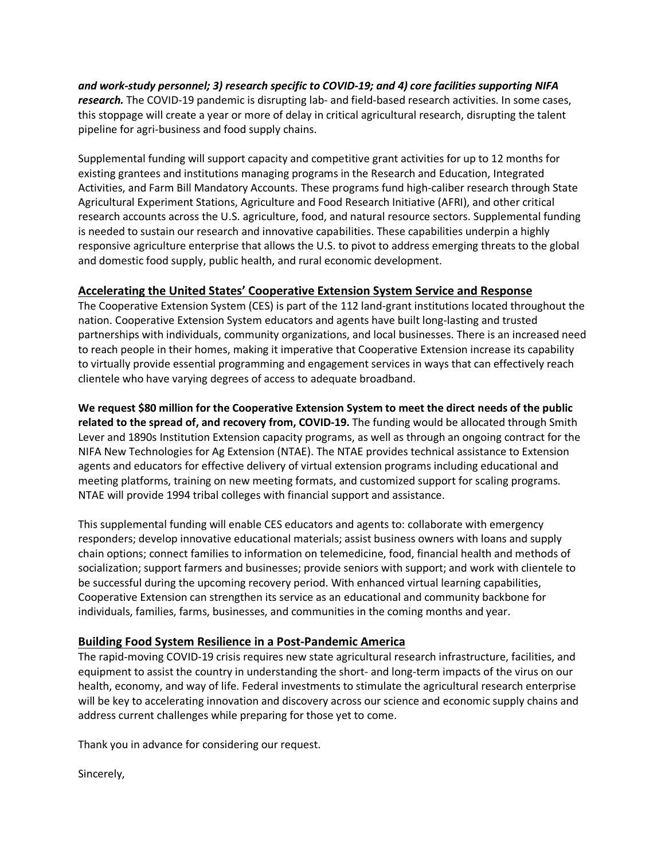*and work-study personnel; 3) research specific to COVID-19; and 4) core facilities supporting NIFA research.* The COVID-19 pandemic is disrupting lab- and field-based research activities. In some cases, this stoppage will create a year or more of delay in critical agricultural research, disrupting the talent pipeline for agri-business and food supply chains.

Supplemental funding will support capacity and competitive grant activities for up to 12 months for existing grantees and institutions managing programs in the Research and Education, Integrated Activities, and Farm Bill Mandatory Accounts. These programs fund high-caliber research through State Agricultural Experiment Stations, Agriculture and Food Research Initiative (AFRI), and other critical research accounts across the U.S. agriculture, food, and natural resource sectors. Supplemental funding is needed to sustain our research and innovative capabilities. These capabilities underpin a highly responsive agriculture enterprise that allows the U.S. to pivot to address emerging threats to the global and domestic food supply, public health, and rural economic development.

# **Accelerating the United States' Cooperative Extension System Service and Response**

The Cooperative Extension System (CES) is part of the 112 land-grant institutions located throughout the nation. Cooperative Extension System educators and agents have built long-lasting and trusted partnerships with individuals, community organizations, and local businesses. There is an increased need to reach people in their homes, making it imperative that Cooperative Extension increase its capability to virtually provide essential programming and engagement services in ways that can effectively reach clientele who have varying degrees of access to adequate broadband.

**We request \$80 million for the Cooperative Extension System to meet the direct needs of the public related to the spread of, and recovery from, COVID-19.** The funding would be allocated through Smith Lever and 1890s Institution Extension capacity programs, as well as through an ongoing contract for the NIFA New Technologies for Ag Extension (NTAE). The NTAE provides technical assistance to Extension agents and educators for effective delivery of virtual extension programs including educational and meeting platforms, training on new meeting formats, and customized support for scaling programs. NTAE will provide 1994 tribal colleges with financial support and assistance.

This supplemental funding will enable CES educators and agents to: collaborate with emergency responders; develop innovative educational materials; assist business owners with loans and supply chain options; connect families to information on telemedicine, food, financial health and methods of socialization; support farmers and businesses; provide seniors with support; and work with clientele to be successful during the upcoming recovery period. With enhanced virtual learning capabilities, Cooperative Extension can strengthen its service as an educational and community backbone for individuals, families, farms, businesses, and communities in the coming months and year.

# **Building Food System Resilience in a Post-Pandemic America**

The rapid-moving COVID-19 crisis requires new state agricultural research infrastructure, facilities, and equipment to assist the country in understanding the short- and long-term impacts of the virus on our health, economy, and way of life. Federal investments to stimulate the agricultural research enterprise will be key to accelerating innovation and discovery across our science and economic supply chains and address current challenges while preparing for those yet to come.

Thank you in advance for considering our request.

Sincerely,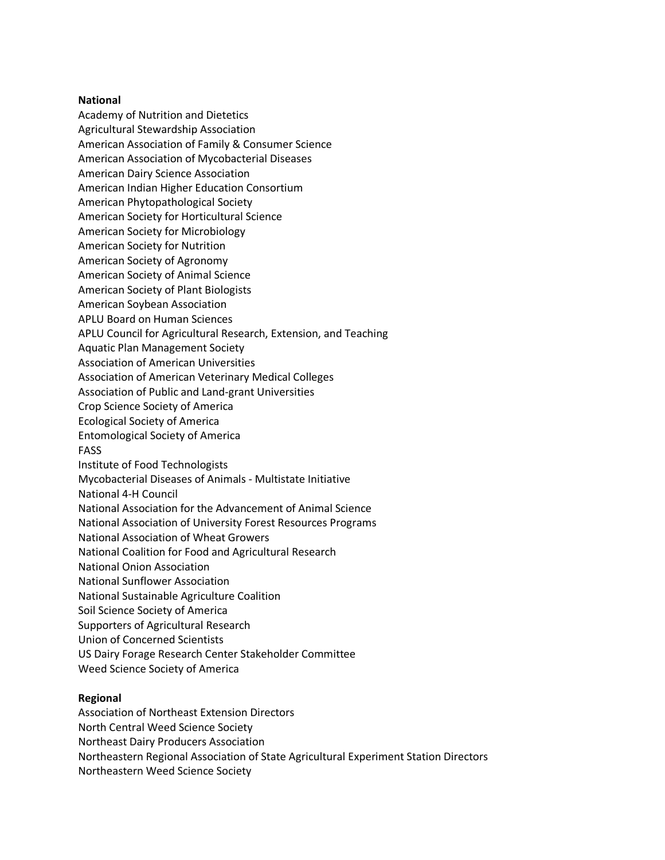#### **National**

Academy of Nutrition and Dietetics

- Agricultural Stewardship Association
- American Association of Family & Consumer Science
- American Association of Mycobacterial Diseases
- American Dairy Science Association
- American Indian Higher Education Consortium
- American Phytopathological Society
- American Society for Horticultural Science
- American Society for Microbiology
- American Society for Nutrition
- American Society of Agronomy
- American Society of Animal Science
- American Society of Plant Biologists
- American Soybean Association
- APLU Board on Human Sciences
- APLU Council for Agricultural Research, Extension, and Teaching
- Aquatic Plan Management Society
- Association of American Universities
- Association of American Veterinary Medical Colleges
- Association of Public and Land-grant Universities
- Crop Science Society of America
- Ecological Society of America
- Entomological Society of America
- FASS
- Institute of Food Technologists
- Mycobacterial Diseases of Animals Multistate Initiative
- National 4-H Council
- National Association for the Advancement of Animal Science
- National Association of University Forest Resources Programs
- National Association of Wheat Growers
- National Coalition for Food and Agricultural Research
- National Onion Association
- National Sunflower Association
- National Sustainable Agriculture Coalition
- Soil Science Society of America
- Supporters of Agricultural Research
- Union of Concerned Scientists
- US Dairy Forage Research Center Stakeholder Committee
- Weed Science Society of America

# **Regional**

- Association of Northeast Extension Directors
- North Central Weed Science Society
- Northeast Dairy Producers Association
- Northeastern Regional Association of State Agricultural Experiment Station Directors
- Northeastern Weed Science Society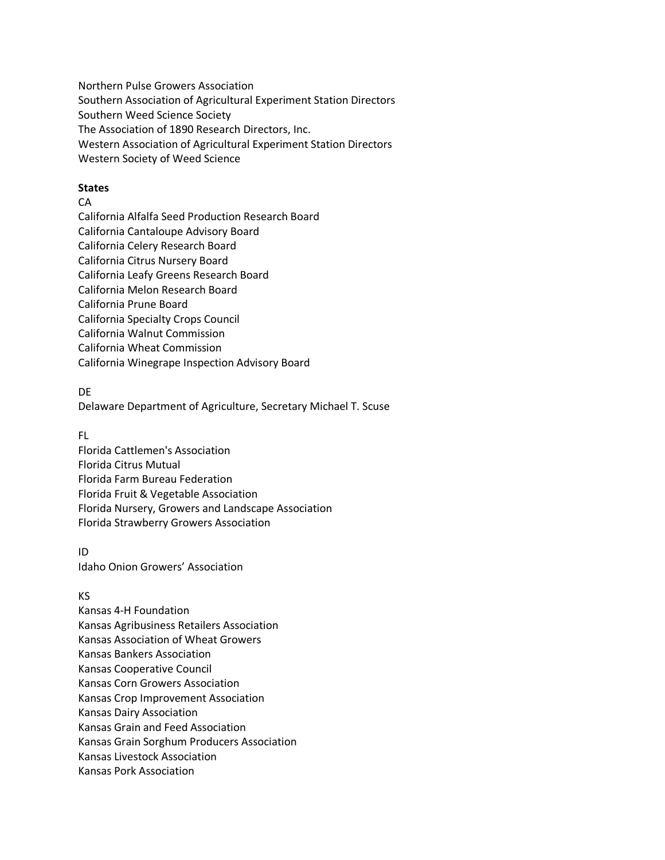Northern Pulse Growers Association Southern Association of Agricultural Experiment Station Directors Southern Weed Science Society The Association of 1890 Research Directors, Inc. Western Association of Agricultural Experiment Station Directors Western Society of Weed Science

### **States**

### **CA**

California Alfalfa Seed Production Research Board California Cantaloupe Advisory Board California Celery Research Board California Citrus Nursery Board California Leafy Greens Research Board California Melon Research Board California Prune Board California Specialty Crops Council California Walnut Commission California Wheat Commission California Winegrape Inspection Advisory Board

DE

Delaware Department of Agriculture, Secretary Michael T. Scuse

FL

Florida Cattlemen's Association Florida Citrus Mutual Florida Farm Bureau Federation Florida Fruit & Vegetable Association Florida Nursery, Growers and Landscape Association Florida Strawberry Growers Association

ID Idaho Onion Growers' Association

# KS

Kansas 4-H Foundation Kansas Agribusiness Retailers Association Kansas Association of Wheat Growers Kansas Bankers Association Kansas Cooperative Council Kansas Corn Growers Association Kansas Crop Improvement Association Kansas Dairy Association Kansas Grain and Feed Association Kansas Grain Sorghum Producers Association Kansas Livestock Association Kansas Pork Association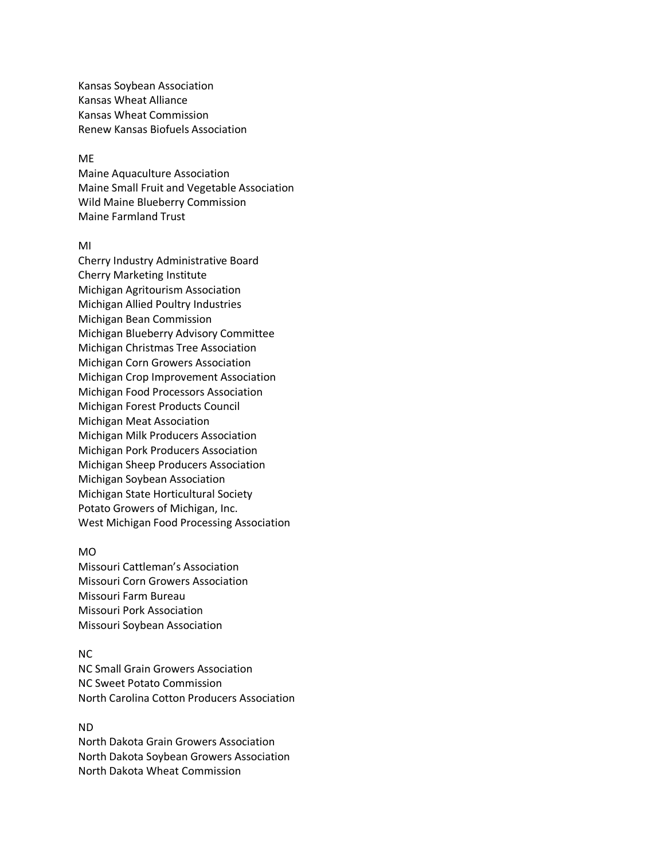Kansas Soybean Association Kansas Wheat Alliance Kansas Wheat Commission Renew Kansas Biofuels Association

#### ME

Maine Aquaculture Association Maine Small Fruit and Vegetable Association Wild Maine Blueberry Commission Maine Farmland Trust

### MI

Cherry Industry Administrative Board Cherry Marketing Institute Michigan Agritourism Association Michigan Allied Poultry Industries Michigan Bean Commission Michigan Blueberry Advisory Committee Michigan Christmas Tree Association Michigan Corn Growers Association Michigan Crop Improvement Association Michigan Food Processors Association Michigan Forest Products Council Michigan Meat Association Michigan Milk Producers Association Michigan Pork Producers Association Michigan Sheep Producers Association Michigan Soybean Association Michigan State Horticultural Society Potato Growers of Michigan, Inc. West Michigan Food Processing Association

### MO

Missouri Cattleman's Association Missouri Corn Growers Association Missouri Farm Bureau Missouri Pork Association Missouri Soybean Association

# NC

NC Small Grain Growers Association NC Sweet Potato Commission North Carolina Cotton Producers Association

### ND

North Dakota Grain Growers Association North Dakota Soybean Growers Association North Dakota Wheat Commission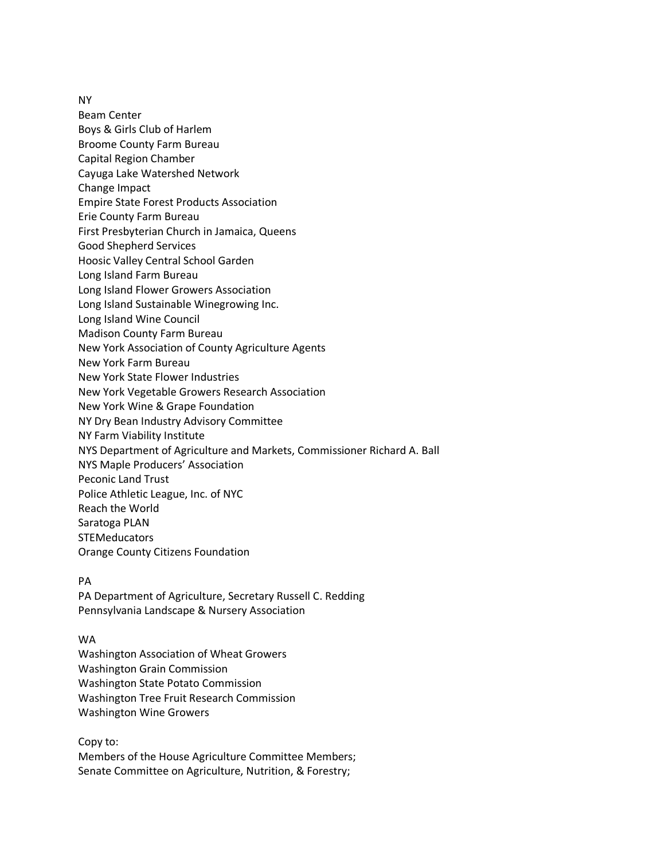NY

Beam Center Boys & Girls Club of Harlem Broome County Farm Bureau Capital Region Chamber Cayuga Lake Watershed Network Change Impact Empire State Forest Products Association Erie County Farm Bureau First Presbyterian Church in Jamaica, Queens Good Shepherd Services Hoosic Valley Central School Garden Long Island Farm Bureau Long Island Flower Growers Association Long Island Sustainable Winegrowing Inc. Long Island Wine Council Madison County Farm Bureau New York Association of County Agriculture Agents New York Farm Bureau New York State Flower Industries New York Vegetable Growers Research Association New York Wine & Grape Foundation NY Dry Bean Industry Advisory Committee NY Farm Viability Institute NYS Department of Agriculture and Markets, Commissioner Richard A. Ball NYS Maple Producers' Association Peconic Land Trust Police Athletic League, Inc. of NYC Reach the World Saratoga PLAN **STEMeducators** Orange County Citizens Foundation

# PA

PA Department of Agriculture, Secretary Russell C. Redding Pennsylvania Landscape & Nursery Association

# WA

Washington Association of Wheat Growers Washington Grain Commission Washington State Potato Commission Washington Tree Fruit Research Commission Washington Wine Growers

Copy to: Members of the House Agriculture Committee Members; Senate Committee on Agriculture, Nutrition, & Forestry;